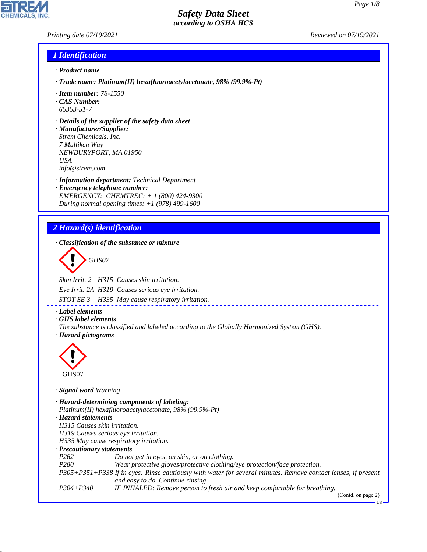*Printing date 07/19/2021 Reviewed on 07/19/2021*

#### *1 Identification*

- *· Product name*
- *· Trade name: Platinum(II) hexafluoroacetylacetonate, 98% (99.9%-Pt)*
- *· Item number: 78-1550*
- *· CAS Number: 65353-51-7*
- *· Details of the supplier of the safety data sheet*

*· Manufacturer/Supplier: Strem Chemicals, Inc. 7 Mulliken Way NEWBURYPORT, MA 01950 USA info@strem.com*

*· Information department: Technical Department · Emergency telephone number: EMERGENCY: CHEMTREC: + 1 (800) 424-9300 During normal opening times: +1 (978) 499-1600*

# *2 Hazard(s) identification*

*· Classification of the substance or mixture*

d~*GHS07*

*Skin Irrit. 2 H315 Causes skin irritation.*

*Eye Irrit. 2A H319 Causes serious eye irritation.*

*STOT SE 3 H335 May cause respiratory irritation.*

*· Label elements*

*· GHS label elements*

*The substance is classified and labeled according to the Globally Harmonized System (GHS). · Hazard pictograms*



44.1.1

*· Signal word Warning*

*· Hazard-determining components of labeling: Platinum(II) hexafluoroacetylacetonate, 98% (99.9%-Pt) · Hazard statements H315 Causes skin irritation. H319 Causes serious eye irritation. H335 May cause respiratory irritation. · Precautionary statements P262 Do not get in eyes, on skin, or on clothing. P280 Wear protective gloves/protective clothing/eye protection/face protection. P305+P351+P338 If in eyes: Rinse cautiously with water for several minutes. Remove contact lenses, if present and easy to do. Continue rinsing. P304+P340 IF INHALED: Remove person to fresh air and keep comfortable for breathing.*

(Contd. on page 2)

US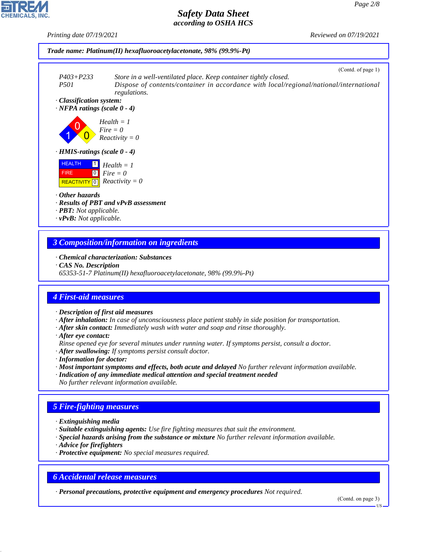

# *3 Composition/information on ingredients*

- *· Chemical characterization: Substances*
- *· CAS No. Description*
- *65353-51-7 Platinum(II) hexafluoroacetylacetonate, 98% (99.9%-Pt)*

# *4 First-aid measures*

- *· Description of first aid measures*
- *· After inhalation: In case of unconsciousness place patient stably in side position for transportation.*
- *· After skin contact: Immediately wash with water and soap and rinse thoroughly.*
- *· After eye contact:*
- *Rinse opened eye for several minutes under running water. If symptoms persist, consult a doctor.*
- *· After swallowing: If symptoms persist consult doctor.*
- *· Information for doctor:*
- *· Most important symptoms and effects, both acute and delayed No further relevant information available.*
- *· Indication of any immediate medical attention and special treatment needed*
- *No further relevant information available.*

# *5 Fire-fighting measures*

- *· Extinguishing media*
- *· Suitable extinguishing agents: Use fire fighting measures that suit the environment.*
- *· Special hazards arising from the substance or mixture No further relevant information available.*
- *· Advice for firefighters*

44.1.1

*· Protective equipment: No special measures required.*

## *6 Accidental release measures*

*· Personal precautions, protective equipment and emergency procedures Not required.*

(Contd. on page 3)

US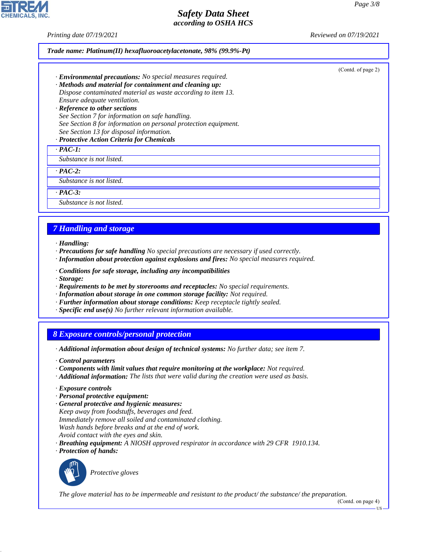*Printing date 07/19/2021 Reviewed on 07/19/2021*

|  |  | Trade name: Platinum(II) hexafluoroacetylacetonate, 98% (99.9%-Pt) |  |
|--|--|--------------------------------------------------------------------|--|
|--|--|--------------------------------------------------------------------|--|

(Contd. of page 2)

- *· Environmental precautions: No special measures required.*
- *· Methods and material for containment and cleaning up: Dispose contaminated material as waste according to item 13. Ensure adequate ventilation.*
- *· Reference to other sections See Section 7 for information on safe handling. See Section 8 for information on personal protection equipment. See Section 13 for disposal information.*

#### *· Protective Action Criteria for Chemicals*

*· PAC-1:*

*Substance is not listed.*

*· PAC-2:*

*Substance is not listed.*

*· PAC-3:*

*Substance is not listed.*

## *7 Handling and storage*

- *· Handling:*
- *· Precautions for safe handling No special precautions are necessary if used correctly.*
- *· Information about protection against explosions and fires: No special measures required.*
- *· Conditions for safe storage, including any incompatibilities*
- *· Storage:*
- *· Requirements to be met by storerooms and receptacles: No special requirements.*
- *· Information about storage in one common storage facility: Not required.*
- *· Further information about storage conditions: Keep receptacle tightly sealed.*
- *· Specific end use(s) No further relevant information available.*

### *8 Exposure controls/personal protection*

- *· Additional information about design of technical systems: No further data; see item 7.*
- *· Control parameters*
- *· Components with limit values that require monitoring at the workplace: Not required.*
- *· Additional information: The lists that were valid during the creation were used as basis.*
- *· Exposure controls*
- *· Personal protective equipment:*
- *· General protective and hygienic measures:*
- *Keep away from foodstuffs, beverages and feed. Immediately remove all soiled and contaminated clothing. Wash hands before breaks and at the end of work. Avoid contact with the eyes and skin.*
- *· Breathing equipment: A NIOSH approved respirator in accordance with 29 CFR 1910.134.*
- *· Protection of hands:*



44.1.1

\_S*Protective gloves*

*The glove material has to be impermeable and resistant to the product/ the substance/ the preparation.*

(Contd. on page 4)

US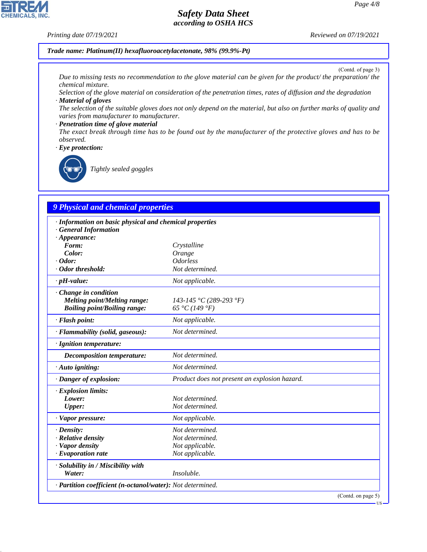#### *Printing date 07/19/2021 Reviewed on 07/19/2021*

**CHEMICALS, INC.** 

*Trade name: Platinum(II) hexafluoroacetylacetonate, 98% (99.9%-Pt)*

(Contd. of page 3)

**HS** 

*Due to missing tests no recommendation to the glove material can be given for the product/ the preparation/ the chemical mixture.*

*Selection of the glove material on consideration of the penetration times, rates of diffusion and the degradation · Material of gloves*

*The selection of the suitable gloves does not only depend on the material, but also on further marks of quality and varies from manufacturer to manufacturer.*

#### *· Penetration time of glove material*

*The exact break through time has to be found out by the manufacturer of the protective gloves and has to be observed.*

*· Eye protection:*



44.1.1

\_R*Tightly sealed goggles*

# *9 Physical and chemical properties*

| · Information on basic physical and chemical properties    |                                               |
|------------------------------------------------------------|-----------------------------------------------|
| <b>General Information</b>                                 |                                               |
| $\cdot$ Appearance:                                        |                                               |
| Form:                                                      | Crystalline                                   |
| Color:                                                     | Orange                                        |
| $\cdot$ Odor:                                              | <i><u><b>Odorless</b></u></i>                 |
| · Odor threshold:                                          | Not determined.                               |
| $\cdot$ pH-value:                                          | Not applicable.                               |
| Change in condition                                        |                                               |
| <b>Melting point/Melting range:</b>                        | 143-145 °C (289-293 °F)                       |
| <b>Boiling point/Boiling range:</b>                        | 65 °C (149 °F)                                |
| · Flash point:                                             | Not applicable.                               |
| · Flammability (solid, gaseous):                           | Not determined.                               |
| · Ignition temperature:                                    |                                               |
| Decomposition temperature:                                 | Not determined.                               |
| · Auto igniting:                                           | Not determined.                               |
| · Danger of explosion:                                     | Product does not present an explosion hazard. |
| · Explosion limits:                                        |                                               |
| Lower:                                                     | Not determined.                               |
| Upper:                                                     | Not determined.                               |
| · Vapor pressure:                                          | Not applicable.                               |
| $\cdot$ Density:                                           | Not determined.                               |
| · Relative density                                         | Not determined.                               |
| · Vapor density                                            | Not applicable.                               |
| $\cdot$ Evaporation rate                                   | Not applicable.                               |
| · Solubility in / Miscibility with                         |                                               |
| Water:                                                     | Insoluble.                                    |
| · Partition coefficient (n-octanol/water): Not determined. |                                               |
|                                                            | (Contd. on page 5)                            |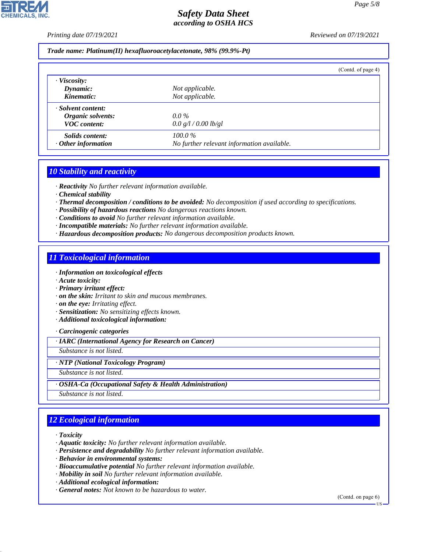*Printing date 07/19/2021 Reviewed on 07/19/2021*

*Trade name: Platinum(II) hexafluoroacetylacetonate, 98% (99.9%-Pt)*

|                           | (Contd. of page 4)                         |
|---------------------------|--------------------------------------------|
| $\cdot$ Viscosity:        |                                            |
| Dynamic:                  | Not applicable.                            |
| Kinematic:                | Not applicable.                            |
| · Solvent content:        |                                            |
| Organic solvents:         | $0.0\%$                                    |
| <b>VOC</b> content:       | 0.0 g/l / 0.00 lb/gl                       |
| Solids content:           | $100.0\%$                                  |
| $\cdot$ Other information | No further relevant information available. |

## *10 Stability and reactivity*

*· Reactivity No further relevant information available.*

*· Chemical stability*

- *· Thermal decomposition / conditions to be avoided: No decomposition if used according to specifications.*
- *· Possibility of hazardous reactions No dangerous reactions known.*

*· Conditions to avoid No further relevant information available.*

- *· Incompatible materials: No further relevant information available.*
- *· Hazardous decomposition products: No dangerous decomposition products known.*

### *11 Toxicological information*

*· Information on toxicological effects*

- *· Acute toxicity:*
- *· Primary irritant effect:*
- *· on the skin: Irritant to skin and mucous membranes.*

*· on the eye: Irritating effect.*

- *· Sensitization: No sensitizing effects known.*
- *· Additional toxicological information:*

*· Carcinogenic categories*

*· IARC (International Agency for Research on Cancer)*

*Substance is not listed.*

#### *· NTP (National Toxicology Program)*

*Substance is not listed.*

*· OSHA-Ca (Occupational Safety & Health Administration)*

*Substance is not listed.*

# *12 Ecological information*

*· Toxicity*

44.1.1

- *· Aquatic toxicity: No further relevant information available.*
- *· Persistence and degradability No further relevant information available.*
- *· Behavior in environmental systems:*
- *· Bioaccumulative potential No further relevant information available.*
- *· Mobility in soil No further relevant information available.*
- *· Additional ecological information:*
- *· General notes: Not known to be hazardous to water.*

(Contd. on page 6)

US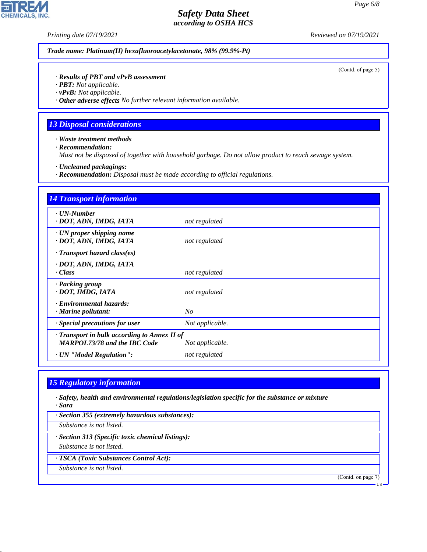**CHEMICALS, INC.** 

*Printing date 07/19/2021 Reviewed on 07/19/2021*

*Trade name: Platinum(II) hexafluoroacetylacetonate, 98% (99.9%-Pt)*

(Contd. of page 5)

#### *· Results of PBT and vPvB assessment*

*· PBT: Not applicable.*

*· vPvB: Not applicable.*

*· Other adverse effects No further relevant information available.*

## *13 Disposal considerations*

*· Waste treatment methods*

*· Recommendation:*

*Must not be disposed of together with household garbage. Do not allow product to reach sewage system.*

*· Uncleaned packagings:*

*· Recommendation: Disposal must be made according to official regulations.*

| <b>14 Transport information</b>                                                   |                 |
|-----------------------------------------------------------------------------------|-----------------|
| · UN-Number<br>· DOT, ADN, IMDG, IATA                                             | not regulated   |
| $\cdot$ UN proper shipping name<br>· DOT, ADN, IMDG, IATA                         | not regulated   |
| $\cdot$ Transport hazard class(es)                                                |                 |
| · DOT, ADN, IMDG, IATA<br>· Class                                                 | not regulated   |
| · Packing group<br>· DOT, IMDG, IATA                                              | not regulated   |
| · Environmental hazards:<br>· Marine pollutant:                                   | N <sub>O</sub>  |
| $\cdot$ Special precautions for user                                              | Not applicable. |
| Transport in bulk according to Annex II of<br><b>MARPOL73/78 and the IBC Code</b> | Not applicable. |
| · UN "Model Regulation":                                                          | not regulated   |

# *15 Regulatory information*

*· Safety, health and environmental regulations/legislation specific for the substance or mixture · Sara*

*· Section 355 (extremely hazardous substances):*

*Substance is not listed.*

*· Section 313 (Specific toxic chemical listings):*

*Substance is not listed.*

*· TSCA (Toxic Substances Control Act):*

*Substance is not listed.*

44.1.1

(Contd. on page 7)

US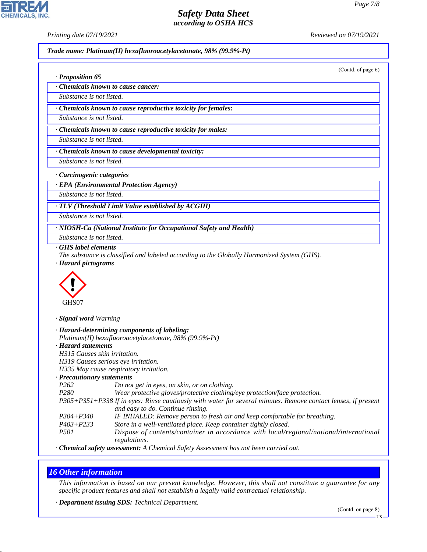**CHEMICALS, INC** 

*· Proposition 65*

*Printing date 07/19/2021 Reviewed on 07/19/2021*

*Trade name: Platinum(II) hexafluoroacetylacetonate, 98% (99.9%-Pt)*

(Contd. of page 6)

*· Chemicals known to cause cancer:*

*Substance is not listed.*

*· Chemicals known to cause reproductive toxicity for females:*

*Substance is not listed.*

*· Chemicals known to cause reproductive toxicity for males:*

*Substance is not listed.*

*· Chemicals known to cause developmental toxicity:*

*Substance is not listed.*

*· Carcinogenic categories*

*· EPA (Environmental Protection Agency)*

*Substance is not listed.*

*· TLV (Threshold Limit Value established by ACGIH)*

*Substance is not listed.*

*· NIOSH-Ca (National Institute for Occupational Safety and Health)*

*Substance is not listed.*

*· GHS label elements*

*The substance is classified and labeled according to the Globally Harmonized System (GHS). · Hazard pictograms*



*· Signal word Warning*

|                              | · Hazard-determining components of labeling:                                                                  |
|------------------------------|---------------------------------------------------------------------------------------------------------------|
|                              | Platinum(II) hexafluoroacetylacetonate, $98\%$ (99.9%-Pt)                                                     |
| · Hazard statements          |                                                                                                               |
| H315 Causes skin irritation. |                                                                                                               |
|                              | H319 Causes serious eye irritation.                                                                           |
|                              | H335 May cause respiratory irritation.                                                                        |
| · Precautionary statements   |                                                                                                               |
| P <sub>262</sub>             | Do not get in eyes, on skin, or on clothing.                                                                  |
| P <sub>280</sub>             | Wear protective gloves/protective clothing/eye protection/face protection.                                    |
|                              | P305+P351+P338 If in eyes: Rinse cautiously with water for several minutes. Remove contact lenses, if present |
|                              | and easy to do. Continue rinsing.                                                                             |
| $P304 + P340$                | IF INHALED: Remove person to fresh air and keep comfortable for breathing.                                    |
| $P403 + P233$                | Store in a well-ventilated place. Keep container tightly closed.                                              |
| <i>P501</i>                  | Dispose of contents/container in accordance with local/regional/national/international<br>regulations.        |
|                              |                                                                                                               |

*· Chemical safety assessment: A Chemical Safety Assessment has not been carried out.*

## *16 Other information*

44.1.1

*This information is based on our present knowledge. However, this shall not constitute a guarantee for any specific product features and shall not establish a legally valid contractual relationship.*

*· Department issuing SDS: Technical Department.*

US